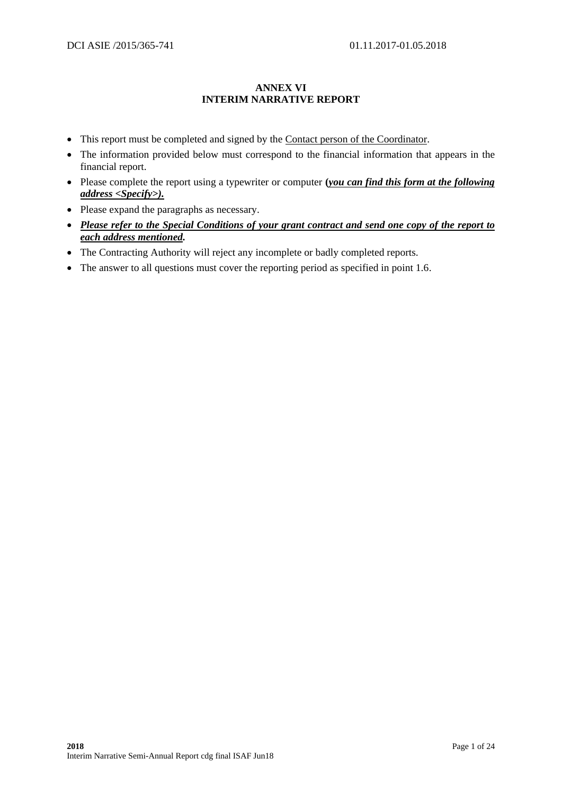## **ANNEX VI INTERIM NARRATIVE REPORT**

- This report must be completed and signed by the Contact person of the Coordinator.
- The information provided below must correspond to the financial information that appears in the financial report.
- Please complete the report using a typewriter or computer **(***you can find this form at the following address <Specify>).*
- Please expand the paragraphs as necessary.
- *Please refer to the Special Conditions of your grant contract and send one copy of the report to each address mentioned.*
- The Contracting Authority will reject any incomplete or badly completed reports.
- The answer to all questions must cover the reporting period as specified in point 1.6.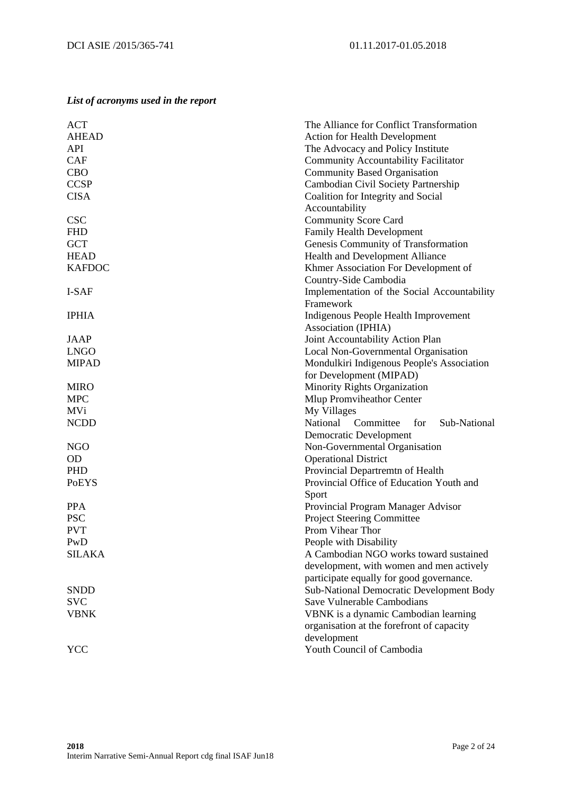# *List of acronyms used in the report*

| <b>ACT</b>    | The Alliance for Conflict Transformation                                             |  |  |  |
|---------------|--------------------------------------------------------------------------------------|--|--|--|
| <b>AHEAD</b>  | <b>Action for Health Development</b>                                                 |  |  |  |
| API           | The Advocacy and Policy Institute                                                    |  |  |  |
| <b>CAF</b>    | <b>Community Accountability Facilitator</b>                                          |  |  |  |
| <b>CBO</b>    | <b>Community Based Organisation</b>                                                  |  |  |  |
| <b>CCSP</b>   | Cambodian Civil Society Partnership                                                  |  |  |  |
| <b>CISA</b>   | Coalition for Integrity and Social                                                   |  |  |  |
|               | Accountability                                                                       |  |  |  |
| <b>CSC</b>    | <b>Community Score Card</b>                                                          |  |  |  |
| <b>FHD</b>    | Family Health Development                                                            |  |  |  |
| <b>GCT</b>    | Genesis Community of Transformation                                                  |  |  |  |
| <b>HEAD</b>   | Health and Development Alliance                                                      |  |  |  |
| <b>KAFDOC</b> | Khmer Association For Development of                                                 |  |  |  |
|               | Country-Side Cambodia                                                                |  |  |  |
| I-SAF         | Implementation of the Social Accountability                                          |  |  |  |
|               | Framework                                                                            |  |  |  |
| <b>IPHIA</b>  | Indigenous People Health Improvement                                                 |  |  |  |
|               | Association (IPHIA)                                                                  |  |  |  |
| JAAP          | Joint Accountability Action Plan                                                     |  |  |  |
| <b>LNGO</b>   | Local Non-Governmental Organisation                                                  |  |  |  |
| <b>MIPAD</b>  | Mondulkiri Indigenous People's Association                                           |  |  |  |
|               | for Development (MIPAD)                                                              |  |  |  |
| <b>MIRO</b>   | Minority Rights Organization                                                         |  |  |  |
| <b>MPC</b>    | Mlup Promviheathor Center                                                            |  |  |  |
| <b>MVi</b>    | My Villages                                                                          |  |  |  |
| <b>NCDD</b>   | Committee<br>National<br>for<br>Sub-National                                         |  |  |  |
|               | <b>Democratic Development</b>                                                        |  |  |  |
| <b>NGO</b>    | Non-Governmental Organisation                                                        |  |  |  |
| <b>OD</b>     | <b>Operational District</b>                                                          |  |  |  |
| PHD           | Provincial Departremtn of Health                                                     |  |  |  |
| <b>PoEYS</b>  | Provincial Office of Education Youth and                                             |  |  |  |
|               | Sport                                                                                |  |  |  |
| <b>PPA</b>    | Provincial Program Manager Advisor                                                   |  |  |  |
| <b>PSC</b>    | <b>Project Steering Committee</b>                                                    |  |  |  |
| <b>PVT</b>    | Prom Vihear Thor                                                                     |  |  |  |
| PwD           | People with Disability                                                               |  |  |  |
| <b>SILAKA</b> | A Cambodian NGO works toward sustained                                               |  |  |  |
|               | development, with women and men actively                                             |  |  |  |
|               |                                                                                      |  |  |  |
| <b>SNDD</b>   | participate equally for good governance.<br>Sub-National Democratic Development Body |  |  |  |
| <b>SVC</b>    | Save Vulnerable Cambodians                                                           |  |  |  |
| <b>VBNK</b>   | VBNK is a dynamic Cambodian learning                                                 |  |  |  |
|               | organisation at the forefront of capacity                                            |  |  |  |
|               |                                                                                      |  |  |  |
|               | development                                                                          |  |  |  |
| YCC           | Youth Council of Cambodia                                                            |  |  |  |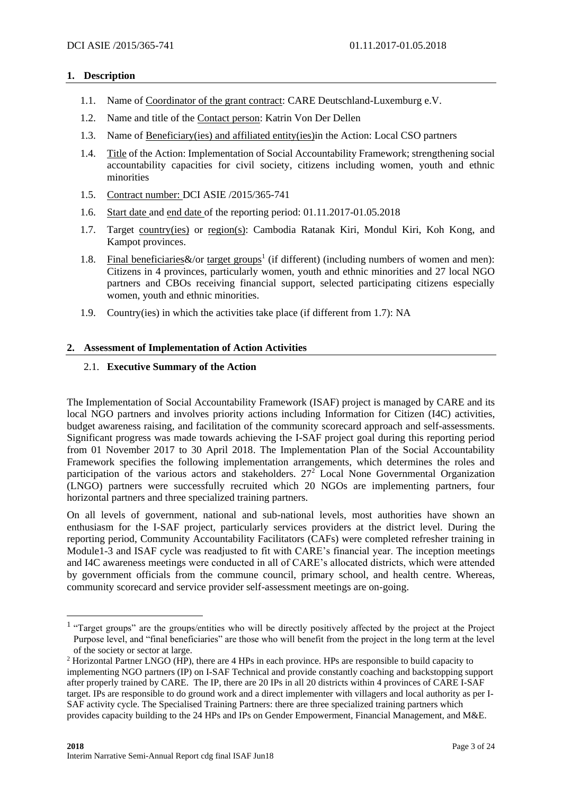## **1. Description**

- 1.1. Name of Coordinator of the grant contract: CARE Deutschland-Luxemburg e.V.
- 1.2. Name and title of the Contact person: Katrin Von Der Dellen
- 1.3. Name of Beneficiary(ies) and affiliated entity(ies)in the Action: Local CSO partners
- 1.4. Title of the Action: Implementation of Social Accountability Framework; strengthening social accountability capacities for civil society, citizens including women, youth and ethnic minorities
- 1.5. Contract number: DCI ASIE /2015/365-741
- 1.6. Start date and end date of the reporting period: 01.11.2017-01.05.2018
- 1.7. Target country(ies) or region(s): Cambodia Ratanak Kiri, Mondul Kiri, Koh Kong, and Kampot provinces.
- 1.8. Final beneficiaries  $\&$ /or target groups<sup>1</sup> (if different) (including numbers of women and men): Citizens in 4 provinces, particularly women, youth and ethnic minorities and 27 local NGO partners and CBOs receiving financial support, selected participating citizens especially women, youth and ethnic minorities.
- 1.9. Country(ies) in which the activities take place (if different from 1.7): NA

## **2. Assessment of Implementation of Action Activities**

## 2.1. **Executive Summary of the Action**

The Implementation of Social Accountability Framework (ISAF) project is managed by CARE and its local NGO partners and involves priority actions including Information for Citizen (I4C) activities, budget awareness raising, and facilitation of the community scorecard approach and self-assessments. Significant progress was made towards achieving the I-SAF project goal during this reporting period from 01 November 2017 to 30 April 2018. The Implementation Plan of the Social Accountability Framework specifies the following implementation arrangements, which determines the roles and participation of the various actors and stakeholders.  $27<sup>2</sup>$  Local None Governmental Organization (LNGO) partners were successfully recruited which 20 NGOs are implementing partners, four horizontal partners and three specialized training partners.

On all levels of government, national and sub-national levels, most authorities have shown an enthusiasm for the I-SAF project, particularly services providers at the district level. During the reporting period, Community Accountability Facilitators (CAFs) were completed refresher training in Module1-3 and ISAF cycle was readjusted to fit with CARE's financial year. The inception meetings and I4C awareness meetings were conducted in all of CARE's allocated districts, which were attended by government officials from the commune council, primary school, and health centre. Whereas, community scorecard and service provider self-assessment meetings are on-going.

<u>.</u>

<sup>&</sup>lt;sup>1</sup> "Target groups" are the groups/entities who will be directly positively affected by the project at the Project Purpose level, and "final beneficiaries" are those who will benefit from the project in the long term at the level of the society or sector at large.

<sup>&</sup>lt;sup>2</sup> Horizontal Partner LNGO (HP), there are 4 HPs in each province. HPs are responsible to build capacity to implementing NGO partners (IP) on I-SAF Technical and provide constantly coaching and backstopping support after properly trained by CARE. The IP, there are 20 IPs in all 20 districts within 4 provinces of CARE I-SAF target. IPs are responsible to do ground work and a direct implementer with villagers and local authority as per I-SAF activity cycle. The Specialised Training Partners: there are three specialized training partners which provides capacity building to the 24 HPs and IPs on Gender Empowerment, Financial Management, and M&E.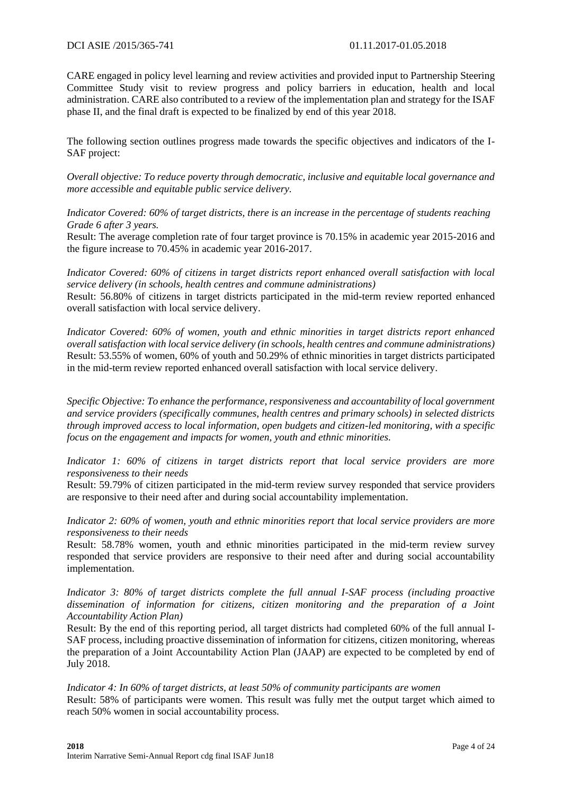CARE engaged in policy level learning and review activities and provided input to Partnership Steering Committee Study visit to review progress and policy barriers in education, health and local administration. CARE also contributed to a review of the implementation plan and strategy for the ISAF phase II, and the final draft is expected to be finalized by end of this year 2018.

The following section outlines progress made towards the specific objectives and indicators of the I-SAF project:

*Overall objective: To reduce poverty through democratic, inclusive and equitable local governance and more accessible and equitable public service delivery.*

*Indicator Covered: 60% of target districts, there is an increase in the percentage of students reaching Grade 6 after 3 years.*

Result: The average completion rate of four target province is 70.15% in academic year 2015-2016 and the figure increase to 70.45% in academic year 2016-2017.

*Indicator Covered: 60% of citizens in target districts report enhanced overall satisfaction with local service delivery (in schools, health centres and commune administrations)* Result: 56.80% of citizens in target districts participated in the mid-term review reported enhanced overall satisfaction with local service delivery.

*Indicator Covered: 60% of women, youth and ethnic minorities in target districts report enhanced overall satisfaction with local service delivery (in schools, health centres and commune administrations)* Result: 53.55% of women, 60% of youth and 50.29% of ethnic minorities in target districts participated in the mid-term review reported enhanced overall satisfaction with local service delivery.

*Specific Objective: To enhance the performance, responsiveness and accountability of local government and service providers (specifically communes, health centres and primary schools) in selected districts through improved access to local information, open budgets and citizen-led monitoring, with a specific focus on the engagement and impacts for women, youth and ethnic minorities.*

*Indicator 1: 60% of citizens in target districts report that local service providers are more responsiveness to their needs*

Result: 59.79% of citizen participated in the mid-term review survey responded that service providers are responsive to their need after and during social accountability implementation.

*Indicator 2: 60% of women, youth and ethnic minorities report that local service providers are more responsiveness to their needs*

Result: 58.78% women, youth and ethnic minorities participated in the mid-term review survey responded that service providers are responsive to their need after and during social accountability implementation.

*Indicator 3: 80% of target districts complete the full annual I-SAF process (including proactive dissemination of information for citizens, citizen monitoring and the preparation of a Joint Accountability Action Plan)*

Result: By the end of this reporting period, all target districts had completed 60% of the full annual I-SAF process, including proactive dissemination of information for citizens, citizen monitoring, whereas the preparation of a Joint Accountability Action Plan (JAAP) are expected to be completed by end of July 2018.

*Indicator 4: In 60% of target districts, at least 50% of community participants are women* Result: 58% of participants were women. This result was fully met the output target which aimed to reach 50% women in social accountability process.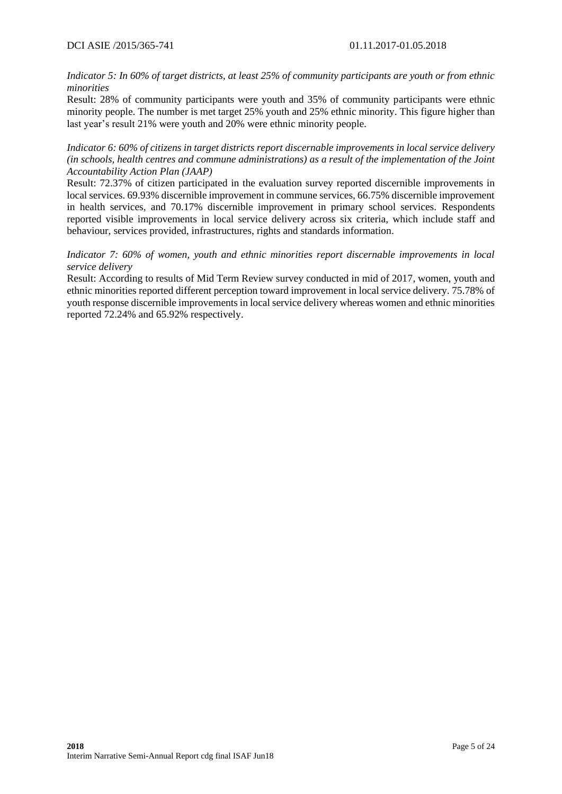*Indicator 5: In 60% of target districts, at least 25% of community participants are youth or from ethnic minorities*

Result: 28% of community participants were youth and 35% of community participants were ethnic minority people. The number is met target 25% youth and 25% ethnic minority. This figure higher than last year's result 21% were youth and 20% were ethnic minority people.

*Indicator 6: 60% of citizens in target districts report discernable improvements in local service delivery (in schools, health centres and commune administrations) as a result of the implementation of the Joint Accountability Action Plan (JAAP)*

Result: 72.37% of citizen participated in the evaluation survey reported discernible improvements in local services. 69.93% discernible improvement in commune services, 66.75% discernible improvement in health services, and 70.17% discernible improvement in primary school services. Respondents reported visible improvements in local service delivery across six criteria, which include staff and behaviour, services provided, infrastructures, rights and standards information.

## *Indicator 7: 60% of women, youth and ethnic minorities report discernable improvements in local service delivery*

Result: According to results of Mid Term Review survey conducted in mid of 2017, women, youth and ethnic minorities reported different perception toward improvement in local service delivery. 75.78% of youth response discernible improvements in local service delivery whereas women and ethnic minorities reported 72.24% and 65.92% respectively.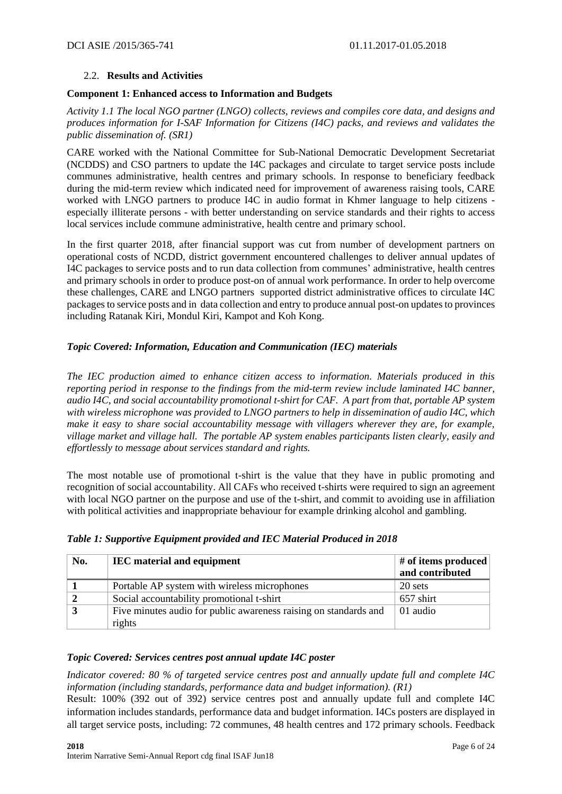## 2.2. **Results and Activities**

#### **Component 1: Enhanced access to Information and Budgets**

*Activity 1.1 The local NGO partner (LNGO) collects, reviews and compiles core data, and designs and produces information for I-SAF Information for Citizens (I4C) packs, and reviews and validates the public dissemination of. (SR1)*

CARE worked with the National Committee for Sub-National Democratic Development Secretariat (NCDDS) and CSO partners to update the I4C packages and circulate to target service posts include communes administrative, health centres and primary schools. In response to beneficiary feedback during the mid-term review which indicated need for improvement of awareness raising tools, CARE worked with LNGO partners to produce I4C in audio format in Khmer language to help citizens especially illiterate persons - with better understanding on service standards and their rights to access local services include commune administrative, health centre and primary school.

In the first quarter 2018, after financial support was cut from number of development partners on operational costs of NCDD, district government encountered challenges to deliver annual updates of I4C packages to service posts and to run data collection from communes' administrative, health centres and primary schools in order to produce post-on of annual work performance. In order to help overcome these challenges, CARE and LNGO partners supported district administrative offices to circulate I4C packagesto service posts and in data collection and entry to produce annual post-on updates to provinces including Ratanak Kiri, Mondul Kiri, Kampot and Koh Kong.

## *Topic Covered: Information, Education and Communication (IEC) materials*

*The IEC production aimed to enhance citizen access to information. Materials produced in this reporting period in response to the findings from the mid-term review include laminated I4C banner, audio I4C, and social accountability promotional t-shirt for CAF. A part from that, portable AP system with wireless microphone was provided to LNGO partners to help in dissemination of audio I4C, which make it easy to share social accountability message with villagers wherever they are, for example, village market and village hall. The portable AP system enables participants listen clearly, easily and effortlessly to message about services standard and rights.* 

The most notable use of promotional t-shirt is the value that they have in public promoting and recognition of social accountability. All CAFs who received t-shirts were required to sign an agreement with local NGO partner on the purpose and use of the t-shirt, and commit to avoiding use in affiliation with political activities and inappropriate behaviour for example drinking alcohol and gambling.

| No. | <b>IEC</b> material and equipment                                | # of items produced<br>and contributed |
|-----|------------------------------------------------------------------|----------------------------------------|
|     | Portable AP system with wireless microphones                     | 20 sets                                |
|     | Social accountability promotional t-shirt                        | 657 shirt                              |
|     | Five minutes audio for public awareness raising on standards and | 01 audio                               |
|     | rights                                                           |                                        |

## *Table 1: Supportive Equipment provided and IEC Material Produced in 2018*

## *Topic Covered: Services centres post annual update I4C poster*

*Indicator covered: 80 % of targeted service centres post and annually update full and complete I4C information (including standards, performance data and budget information). (R1)*

Result: 100% (392 out of 392) service centres post and annually update full and complete I4C information includes standards, performance data and budget information. I4Cs posters are displayed in all target service posts, including: 72 communes, 48 health centres and 172 primary schools. Feedback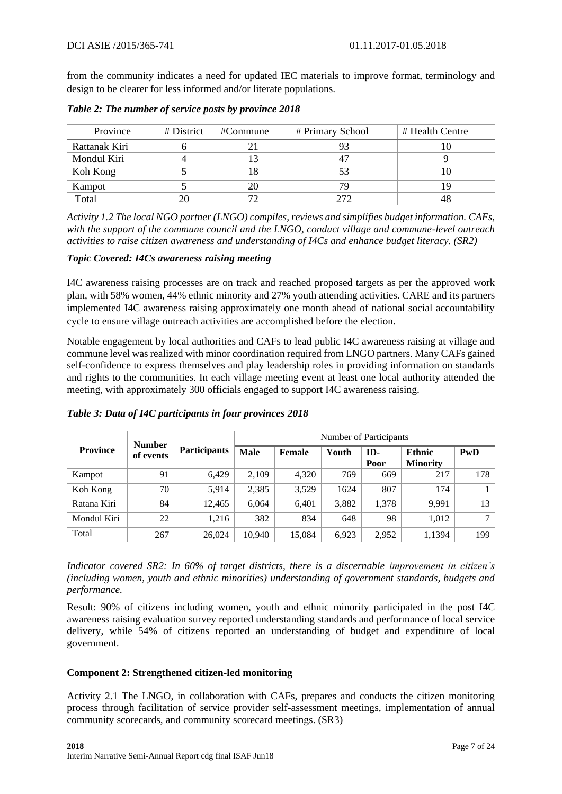from the community indicates a need for updated IEC materials to improve format, terminology and design to be clearer for less informed and/or literate populations.

| Province      | # District | #Commune | # Primary School | # Health Centre |
|---------------|------------|----------|------------------|-----------------|
| Rattanak Kiri |            |          |                  |                 |
| Mondul Kiri   |            |          | 47               |                 |
| Koh Kong      |            |          | 53               |                 |
| Kampot        |            | 20       | 79               |                 |
| Total         | 20         | 70       | 272              | 48              |

*Table 2: The number of service posts by province 2018*

*Activity 1.2 The local NGO partner (LNGO) compiles, reviews and simplifies budget information. CAFs, with the support of the commune council and the LNGO, conduct village and commune-level outreach activities to raise citizen awareness and understanding of I4Cs and enhance budget literacy. (SR2)*

## *Topic Covered: I4Cs awareness raising meeting*

I4C awareness raising processes are on track and reached proposed targets as per the approved work plan, with 58% women, 44% ethnic minority and 27% youth attending activities. CARE and its partners implemented I4C awareness raising approximately one month ahead of national social accountability cycle to ensure village outreach activities are accomplished before the election.

Notable engagement by local authorities and CAFs to lead public I4C awareness raising at village and commune level was realized with minor coordination required from LNGO partners. Many CAFs gained self-confidence to express themselves and play leadership roles in providing information on standards and rights to the communities. In each village meeting event at least one local authority attended the meeting, with approximately 300 officials engaged to support I4C awareness raising.

|                 | <b>Number</b> |                     |             | Number of Participants |       |             |                                  |        |  |  |
|-----------------|---------------|---------------------|-------------|------------------------|-------|-------------|----------------------------------|--------|--|--|
| <b>Province</b> | of events     | <b>Participants</b> | <b>Male</b> | Female                 | Youth | ID-<br>Poor | <b>Ethnic</b><br><b>Minority</b> | PwD    |  |  |
| Kampot          | 91            | 6.429               | 2.109       | 4.320                  | 769   | 669         | 217                              | 178    |  |  |
| Koh Kong        | 70            | 5.914               | 2.385       | 3.529                  | 1624  | 807         | 174                              |        |  |  |
| Ratana Kiri     | 84            | 12.465              | 6.064       | 6,401                  | 3,882 | 1,378       | 9.991                            | 13     |  |  |
| Mondul Kiri     | 22            | 1.216               | 382         | 834                    | 648   | 98          | 1,012                            | $\tau$ |  |  |
| Total           | 267           | 26,024              | 10.940      | 15.084                 | 6.923 | 2.952       | 1,1394                           | 199    |  |  |

*Table 3: Data of I4C participants in four provinces 2018*

*Indicator covered SR2: In 60% of target districts, there is a discernable improvement in citizen's (including women, youth and ethnic minorities) understanding of government standards, budgets and performance.* 

Result: 90% of citizens including women, youth and ethnic minority participated in the post I4C awareness raising evaluation survey reported understanding standards and performance of local service delivery, while 54% of citizens reported an understanding of budget and expenditure of local government.

## **Component 2: Strengthened citizen-led monitoring**

Activity 2.1 The LNGO, in collaboration with CAFs, prepares and conducts the citizen monitoring process through facilitation of service provider self-assessment meetings, implementation of annual community scorecards, and community scorecard meetings. (SR3)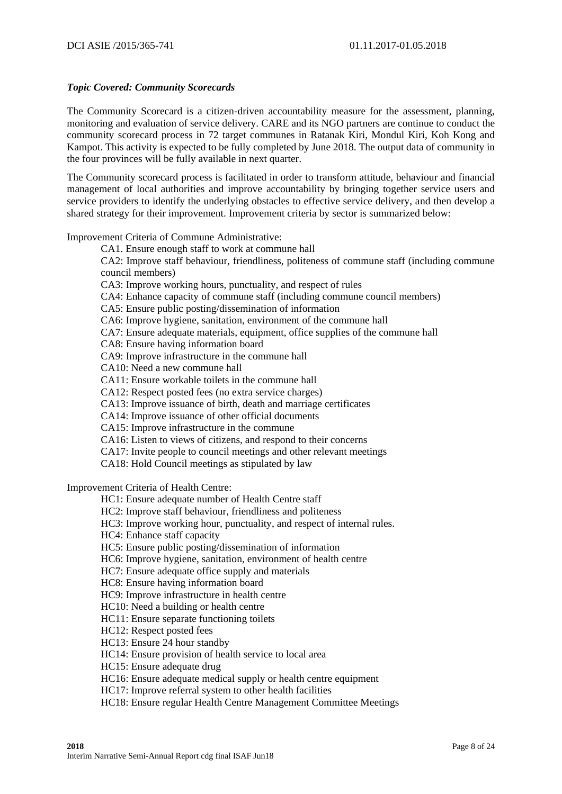## *Topic Covered: Community Scorecards*

The Community Scorecard is a citizen-driven accountability measure for the assessment, planning, monitoring and evaluation of service delivery. CARE and its NGO partners are continue to conduct the community scorecard process in 72 target communes in Ratanak Kiri, Mondul Kiri, Koh Kong and Kampot. This activity is expected to be fully completed by June 2018. The output data of community in the four provinces will be fully available in next quarter.

The Community scorecard process is facilitated in order to transform attitude, behaviour and financial management of local authorities and improve accountability by bringing together service users and service providers to identify the underlying obstacles to effective service delivery, and then develop a shared strategy for their improvement. Improvement criteria by sector is summarized below:

Improvement Criteria of Commune Administrative:

CA1. Ensure enough staff to work at commune hall

CA2: Improve staff behaviour, friendliness, politeness of commune staff (including commune council members)

CA3: Improve working hours, punctuality, and respect of rules

CA4: Enhance capacity of commune staff (including commune council members)

CA5: Ensure public posting/dissemination of information

CA6: Improve hygiene, sanitation, environment of the commune hall

CA7: Ensure adequate materials, equipment, office supplies of the commune hall

CA8: Ensure having information board

CA9: Improve infrastructure in the commune hall

CA10: Need a new commune hall

CA11: Ensure workable toilets in the commune hall

CA12: Respect posted fees (no extra service charges)

CA13: Improve issuance of birth, death and marriage certificates

CA14: Improve issuance of other official documents

CA15: Improve infrastructure in the commune

CA16: Listen to views of citizens, and respond to their concerns

CA17: Invite people to council meetings and other relevant meetings

CA18: Hold Council meetings as stipulated by law

Improvement Criteria of Health Centre:

HC1: Ensure adequate number of Health Centre staff

HC2: Improve staff behaviour, friendliness and politeness

HC3: Improve working hour, punctuality, and respect of internal rules.

HC4: Enhance staff capacity

HC5: Ensure public posting/dissemination of information

HC6: Improve hygiene, sanitation, environment of health centre

HC7: Ensure adequate office supply and materials

HC8: Ensure having information board

HC9: Improve infrastructure in health centre

HC10: Need a building or health centre

HC11: Ensure separate functioning toilets

HC12: Respect posted fees

HC13: Ensure 24 hour standby

HC14: Ensure provision of health service to local area

HC15: Ensure adequate drug

HC16: Ensure adequate medical supply or health centre equipment

HC17: Improve referral system to other health facilities

HC18: Ensure regular Health Centre Management Committee Meetings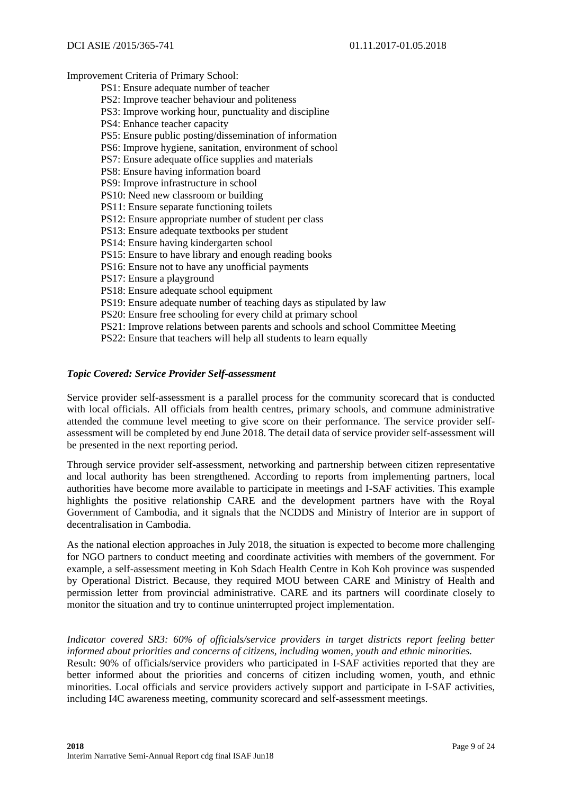Improvement Criteria of Primary School:

- PS1: Ensure adequate number of teacher
- PS2: Improve teacher behaviour and politeness
- PS3: Improve working hour, punctuality and discipline
- PS4: Enhance teacher capacity
- PS5: Ensure public posting/dissemination of information
- PS6: Improve hygiene, sanitation, environment of school
- PS7: Ensure adequate office supplies and materials
- PS8: Ensure having information board
- PS9: Improve infrastructure in school
- PS10: Need new classroom or building
- PS11: Ensure separate functioning toilets
- PS12: Ensure appropriate number of student per class
- PS13: Ensure adequate textbooks per student
- PS14: Ensure having kindergarten school
- PS15: Ensure to have library and enough reading books
- PS16: Ensure not to have any unofficial payments
- PS17: Ensure a playground
- PS18: Ensure adequate school equipment
- PS19: Ensure adequate number of teaching days as stipulated by law
- PS20: Ensure free schooling for every child at primary school
- PS21: Improve relations between parents and schools and school Committee Meeting
- PS22: Ensure that teachers will help all students to learn equally

#### *Topic Covered: Service Provider Self-assessment*

Service provider self-assessment is a parallel process for the community scorecard that is conducted with local officials. All officials from health centres, primary schools, and commune administrative attended the commune level meeting to give score on their performance. The service provider selfassessment will be completed by end June 2018. The detail data of service provider self-assessment will be presented in the next reporting period.

Through service provider self-assessment, networking and partnership between citizen representative and local authority has been strengthened. According to reports from implementing partners, local authorities have become more available to participate in meetings and I-SAF activities. This example highlights the positive relationship CARE and the development partners have with the Royal Government of Cambodia, and it signals that the NCDDS and Ministry of Interior are in support of decentralisation in Cambodia.

As the national election approaches in July 2018, the situation is expected to become more challenging for NGO partners to conduct meeting and coordinate activities with members of the government. For example, a self-assessment meeting in Koh Sdach Health Centre in Koh Koh province was suspended by Operational District. Because, they required MOU between CARE and Ministry of Health and permission letter from provincial administrative. CARE and its partners will coordinate closely to monitor the situation and try to continue uninterrupted project implementation.

#### *Indicator covered SR3: 60% of officials/service providers in target districts report feeling better informed about priorities and concerns of citizens, including women, youth and ethnic minorities.*

Result: 90% of officials/service providers who participated in I-SAF activities reported that they are better informed about the priorities and concerns of citizen including women, youth, and ethnic minorities. Local officials and service providers actively support and participate in I-SAF activities, including I4C awareness meeting, community scorecard and self-assessment meetings.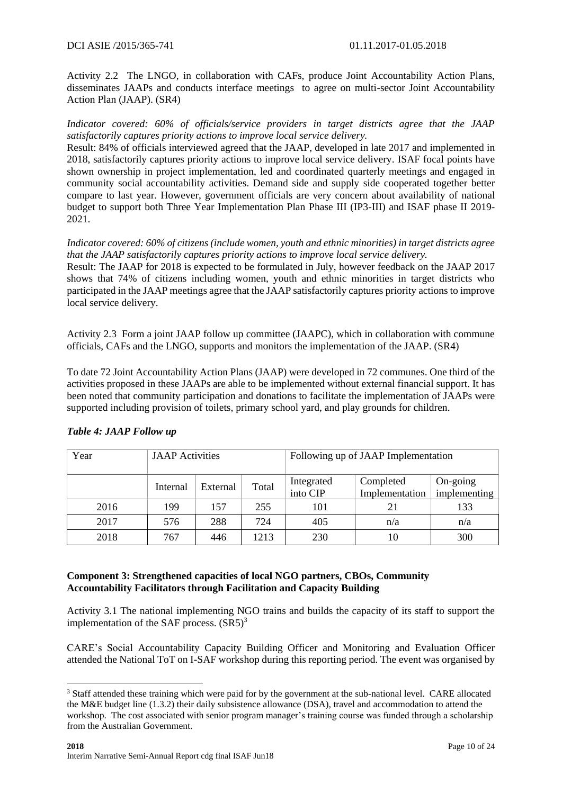Activity 2.2 The LNGO, in collaboration with CAFs, produce Joint Accountability Action Plans, disseminates JAAPs and conducts interface meetings to agree on multi-sector Joint Accountability Action Plan (JAAP). (SR4)

*Indicator covered: 60% of officials/service providers in target districts agree that the JAAP satisfactorily captures priority actions to improve local service delivery.* 

Result: 84% of officials interviewed agreed that the JAAP, developed in late 2017 and implemented in 2018, satisfactorily captures priority actions to improve local service delivery. ISAF focal points have shown ownership in project implementation, led and coordinated quarterly meetings and engaged in community social accountability activities. Demand side and supply side cooperated together better compare to last year. However, government officials are very concern about availability of national budget to support both Three Year Implementation Plan Phase III (IP3-III) and ISAF phase II 2019- 2021.

*Indicator covered: 60% of citizens (include women, youth and ethnic minorities) in target districts agree that the JAAP satisfactorily captures priority actions to improve local service delivery.* 

Result: The JAAP for 2018 is expected to be formulated in July, however feedback on the JAAP 2017 shows that 74% of citizens including women, youth and ethnic minorities in target districts who participated in the JAAP meetings agree that the JAAP satisfactorily captures priority actions to improve local service delivery.

Activity 2.3 Form a joint JAAP follow up committee (JAAPC), which in collaboration with commune officials, CAFs and the LNGO, supports and monitors the implementation of the JAAP. (SR4)

To date 72 Joint Accountability Action Plans (JAAP) were developed in 72 communes. One third of the activities proposed in these JAAPs are able to be implemented without external financial support. It has been noted that community participation and donations to facilitate the implementation of JAAPs were supported including provision of toilets, primary school yard, and play grounds for children.

| Year | <b>JAAP</b> Activities |          |       | Following up of JAAP Implementation |                             |                          |  |
|------|------------------------|----------|-------|-------------------------------------|-----------------------------|--------------------------|--|
|      | Internal               | External | Total | Integrated<br>into CIP              | Completed<br>Implementation | On-going<br>implementing |  |
| 2016 | 199                    | 157      | 255   | 101                                 | 21                          | 133                      |  |
| 2017 | 576                    | 288      | 724   | 405                                 | n/a                         | n/a                      |  |
| 2018 | 767                    | 446      | 1213  | 230                                 | 10                          | 300                      |  |

## *Table 4: JAAP Follow up*

1

## **Component 3: Strengthened capacities of local NGO partners, CBOs, Community Accountability Facilitators through Facilitation and Capacity Building**

Activity 3.1 The national implementing NGO trains and builds the capacity of its staff to support the implementation of the SAF process.  $(SR5)^3$ 

CARE's Social Accountability Capacity Building Officer and Monitoring and Evaluation Officer attended the National ToT on I-SAF workshop during this reporting period. The event was organised by

<sup>&</sup>lt;sup>3</sup> Staff attended these training which were paid for by the government at the sub-national level. CARE allocated the M&E budget line (1.3.2) their daily subsistence allowance (DSA), travel and accommodation to attend the workshop. The cost associated with senior program manager's training course was funded through a scholarship from the Australian Government.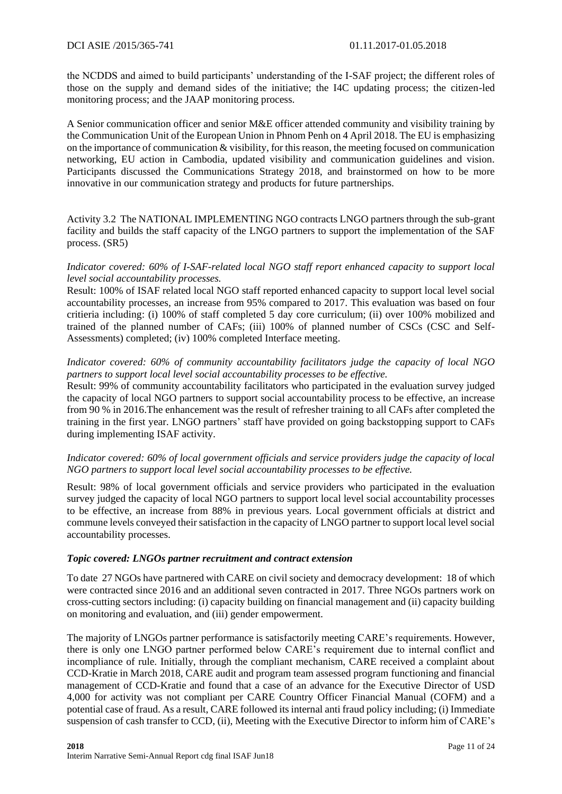the NCDDS and aimed to build participants' understanding of the I-SAF project; the different roles of those on the supply and demand sides of the initiative; the I4C updating process; the citizen-led monitoring process; and the JAAP monitoring process.

A Senior communication officer and senior M&E officer attended community and visibility training by the Communication Unit of the European Union in Phnom Penh on 4 April 2018. The EU is emphasizing on the importance of communication & visibility, for this reason, the meeting focused on communication networking, EU action in Cambodia, updated visibility and communication guidelines and vision. Participants discussed the Communications Strategy 2018, and brainstormed on how to be more innovative in our communication strategy and products for future partnerships.

Activity 3.2 The NATIONAL IMPLEMENTING NGO contracts LNGO partners through the sub-grant facility and builds the staff capacity of the LNGO partners to support the implementation of the SAF process. (SR5)

*Indicator covered: 60% of I-SAF-related local NGO staff report enhanced capacity to support local level social accountability processes.*

Result: 100% of ISAF related local NGO staff reported enhanced capacity to support local level social accountability processes, an increase from 95% compared to 2017. This evaluation was based on four critieria including: (i) 100% of staff completed 5 day core curriculum; (ii) over 100% mobilized and trained of the planned number of CAFs; (iii) 100% of planned number of CSCs (CSC and Self-Assessments) completed; (iv) 100% completed Interface meeting.

#### *Indicator covered: 60% of community accountability facilitators judge the capacity of local NGO partners to support local level social accountability processes to be effective.*

Result: 99% of community accountability facilitators who participated in the evaluation survey judged the capacity of local NGO partners to support social accountability process to be effective, an increase from 90 % in 2016.The enhancement was the result of refresher training to all CAFs after completed the training in the first year. LNGO partners' staff have provided on going backstopping support to CAFs during implementing ISAF activity.

## *Indicator covered: 60% of local government officials and service providers judge the capacity of local NGO partners to support local level social accountability processes to be effective.*

Result: 98% of local government officials and service providers who participated in the evaluation survey judged the capacity of local NGO partners to support local level social accountability processes to be effective, an increase from 88% in previous years. Local government officials at district and commune levels conveyed their satisfaction in the capacity of LNGO partner to support local level social accountability processes.

## *Topic covered: LNGOs partner recruitment and contract extension*

To date 27 NGOs have partnered with CARE on civil society and democracy development: 18 of which were contracted since 2016 and an additional seven contracted in 2017. Three NGOs partners work on cross-cutting sectors including: (i) capacity building on financial management and (ii) capacity building on monitoring and evaluation, and (iii) gender empowerment.

The majority of LNGOs partner performance is satisfactorily meeting CARE's requirements. However, there is only one LNGO partner performed below CARE's requirement due to internal conflict and incompliance of rule. Initially, through the compliant mechanism, CARE received a complaint about CCD-Kratie in March 2018, CARE audit and program team assessed program functioning and financial management of CCD-Kratie and found that a case of an advance for the Executive Director of USD 4,000 for activity was not compliant per CARE Country Officer Financial Manual (COFM) and a potential case of fraud. As a result, CARE followed its internal anti fraud policy including; (i) Immediate suspension of cash transfer to CCD, (ii), Meeting with the Executive Director to inform him of CARE's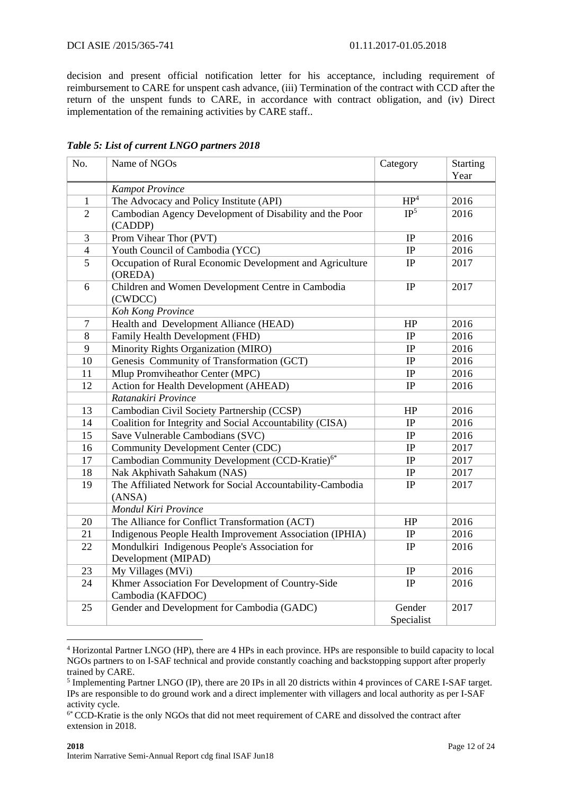decision and present official notification letter for his acceptance, including requirement of reimbursement to CARE for unspent cash advance, (iii) Termination of the contract with CCD after the return of the unspent funds to CARE, in accordance with contract obligation, and (iv) Direct implementation of the remaining activities by CARE staff..

| No.            | Name of NGOs                                                           | Category                 | Starting |
|----------------|------------------------------------------------------------------------|--------------------------|----------|
|                |                                                                        |                          | Year     |
|                | <b>Kampot Province</b>                                                 |                          |          |
| $\mathbf{1}$   | The Advocacy and Policy Institute (API)                                | HP <sup>4</sup>          | 2016     |
| $\overline{2}$ | Cambodian Agency Development of Disability and the Poor<br>(CADDP)     | $\overline{\text{IP}^5}$ | 2016     |
| 3              | Prom Vihear Thor (PVT)                                                 | IP                       | 2016     |
| $\overline{4}$ | Youth Council of Cambodia (YCC)                                        | IP                       | 2016     |
| $\overline{5}$ | Occupation of Rural Economic Development and Agriculture<br>(OREDA)    | $\rm IP$                 | 2017     |
| 6              | Children and Women Development Centre in Cambodia<br>(CWDCC)           | IP                       | 2017     |
|                | Koh Kong Province                                                      |                          |          |
| $\tau$         | Health and Development Alliance (HEAD)                                 | HP                       | 2016     |
| 8              | Family Health Development (FHD)                                        | IP                       | 2016     |
| 9              | Minority Rights Organization (MIRO)                                    | IP                       | 2016     |
| 10             | Genesis Community of Transformation (GCT)                              | IP                       | 2016     |
| 11             | Mlup Promviheathor Center (MPC)                                        | IP                       | 2016     |
| 12             | Action for Health Development (AHEAD)                                  | IP                       | 2016     |
|                | Ratanakiri Province                                                    |                          |          |
| 13             | Cambodian Civil Society Partnership (CCSP)                             | HP                       | 2016     |
| 14             | Coalition for Integrity and Social Accountability (CISA)               | IP                       | 2016     |
| 15             | Save Vulnerable Cambodians (SVC)                                       | $\rm IP$                 | 2016     |
| 16             | <b>Community Development Center (CDC)</b>                              | IP                       | 2017     |
| 17             | Cambodian Community Development (CCD-Kratie) <sup>6*</sup>             | $\rm IP$                 | 2017     |
| 18             | Nak Akphivath Sahakum (NAS)                                            | IP                       | 2017     |
| 19             | The Affiliated Network for Social Accountability-Cambodia<br>(ANSA)    | IP                       | 2017     |
|                | Mondul Kiri Province                                                   |                          |          |
| 20             | The Alliance for Conflict Transformation (ACT)                         | HP                       | 2016     |
| 21             | Indigenous People Health Improvement Association (IPHIA)               | $\rm IP$                 | 2016     |
| 22             | Mondulkiri Indigenous People's Association for<br>Development (MIPAD)  | IP                       | 2016     |
| 23             | My Villages (MVi)                                                      | IP                       | 2016     |
| 24             | Khmer Association For Development of Country-Side<br>Cambodia (KAFDOC) | IP                       | 2016     |
| 25             | Gender and Development for Cambodia (GADC)                             | Gender<br>Specialist     | 2017     |

## *Table 5: List of current LNGO partners 2018*

1

<sup>4</sup> Horizontal Partner LNGO (HP), there are 4 HPs in each province. HPs are responsible to build capacity to local NGOs partners to on I-SAF technical and provide constantly coaching and backstopping support after properly trained by CARE.

<sup>&</sup>lt;sup>5</sup> Implementing Partner LNGO (IP), there are 20 IPs in all 20 districts within 4 provinces of CARE I-SAF target. IPs are responsible to do ground work and a direct implementer with villagers and local authority as per I-SAF activity cycle.

<sup>&</sup>lt;sup>6\*</sup> CCD-Kratie is the only NGOs that did not meet requirement of CARE and dissolved the contract after extension in 2018.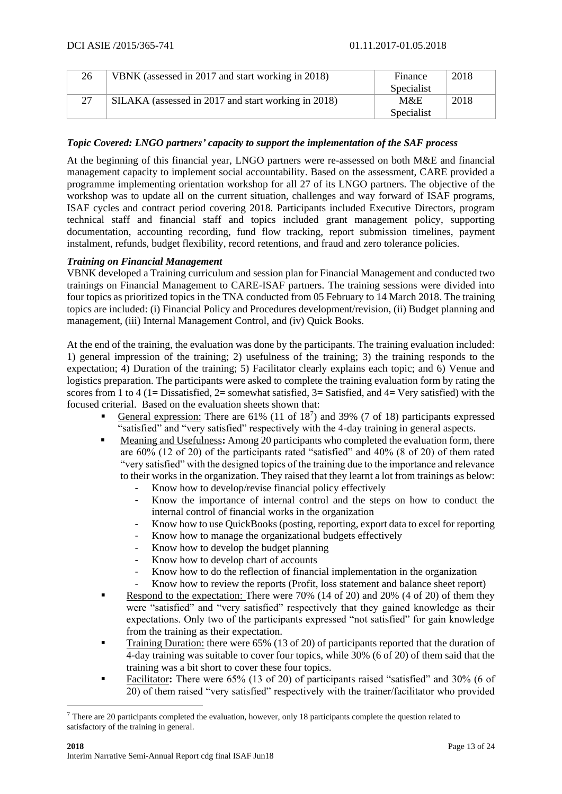| 26 | VBNK (assessed in 2017 and start working in 2018)   | Finance    | 2018 |
|----|-----------------------------------------------------|------------|------|
|    |                                                     | Specialist |      |
| 27 | SILAKA (assessed in 2017 and start working in 2018) | M&E        | 2018 |
|    |                                                     | Specialist |      |

## *Topic Covered: LNGO partners' capacity to support the implementation of the SAF process*

At the beginning of this financial year, LNGO partners were re-assessed on both M&E and financial management capacity to implement social accountability. Based on the assessment, CARE provided a programme implementing orientation workshop for all 27 of its LNGO partners. The objective of the workshop was to update all on the current situation, challenges and way forward of ISAF programs, ISAF cycles and contract period covering 2018. Participants included Executive Directors, program technical staff and financial staff and topics included grant management policy, supporting documentation, accounting recording, fund flow tracking, report submission timelines, payment instalment, refunds, budget flexibility, record retentions, and fraud and zero tolerance policies.

## *Training on Financial Management*

VBNK developed a Training curriculum and session plan for Financial Management and conducted two trainings on Financial Management to CARE-ISAF partners. The training sessions were divided into four topics as prioritized topics in the TNA conducted from 05 February to 14 March 2018. The training topics are included: (i) Financial Policy and Procedures development/revision, (ii) Budget planning and management, (iii) Internal Management Control, and (iv) Quick Books.

At the end of the training, the evaluation was done by the participants. The training evaluation included: 1) general impression of the training; 2) usefulness of the training; 3) the training responds to the expectation; 4) Duration of the training; 5) Facilitator clearly explains each topic; and 6) Venue and logistics preparation. The participants were asked to complete the training evaluation form by rating the scores from 1 to 4 (1= Dissatisfied, 2= somewhat satisfied, 3= Satisfied, and 4= Very satisfied) with the focused criterial. Based on the evaluation sheets shown that:

- **General expression:** There are 61% (11 of  $18<sup>7</sup>$ ) and 39% (7 of 18) participants expressed "satisfied" and "very satisfied" respectively with the 4-day training in general aspects.
- Meaning and Usefulness: Among 20 participants who completed the evaluation form, there are 60% (12 of 20) of the participants rated "satisfied" and 40% (8 of 20) of them rated "very satisfied" with the designed topics of the training due to the importance and relevance to their works in the organization. They raised that they learnt a lot from trainings as below:
	- Know how to develop/revise financial policy effectively
	- Know the importance of internal control and the steps on how to conduct the internal control of financial works in the organization
	- Know how to use QuickBooks (posting, reporting, export data to excel for reporting
	- Know how to manage the organizational budgets effectively
	- Know how to develop the budget planning
	- Know how to develop chart of accounts
	- Know how to do the reflection of financial implementation in the organization
	- Know how to review the reports (Profit, loss statement and balance sheet report)
- Respond to the expectation: There were  $70\%$  (14 of 20) and 20% (4 of 20) of them they were "satisfied" and "very satisfied" respectively that they gained knowledge as their expectations. Only two of the participants expressed "not satisfied" for gain knowledge from the training as their expectation.
- Training Duration: there were 65% (13 of 20) of participants reported that the duration of 4-day training was suitable to cover four topics, while 30% (6 of 20) of them said that the training was a bit short to cover these four topics.
- Facilitator**:** There were 65% (13 of 20) of participants raised "satisfied" and 30% (6 of 20) of them raised "very satisfied" respectively with the trainer/facilitator who provided

1

 $7$  There are 20 participants completed the evaluation, however, only 18 participants complete the question related to satisfactory of the training in general.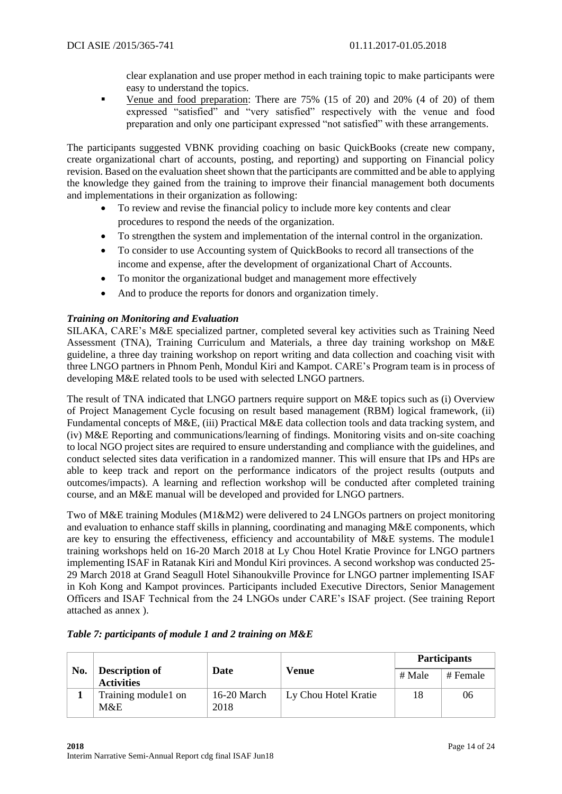clear explanation and use proper method in each training topic to make participants were easy to understand the topics.

• Venue and food preparation: There are 75% (15 of 20) and 20% (4 of 20) of them expressed "satisfied" and "very satisfied" respectively with the venue and food preparation and only one participant expressed "not satisfied" with these arrangements.

The participants suggested VBNK providing coaching on basic QuickBooks (create new company, create organizational chart of accounts, posting, and reporting) and supporting on Financial policy revision. Based on the evaluation sheet shown that the participants are committed and be able to applying the knowledge they gained from the training to improve their financial management both documents and implementations in their organization as following:

- To review and revise the financial policy to include more key contents and clear procedures to respond the needs of the organization.
- To strengthen the system and implementation of the internal control in the organization.
- To consider to use Accounting system of QuickBooks to record all transections of the income and expense, after the development of organizational Chart of Accounts.
- To monitor the organizational budget and management more effectively
- And to produce the reports for donors and organization timely.

## *Training on Monitoring and Evaluation*

SILAKA, CARE's M&E specialized partner, completed several key activities such as Training Need Assessment (TNA), Training Curriculum and Materials, a three day training workshop on M&E guideline, a three day training workshop on report writing and data collection and coaching visit with three LNGO partners in Phnom Penh, Mondul Kiri and Kampot. CARE's Program team is in process of developing M&E related tools to be used with selected LNGO partners.

The result of TNA indicated that LNGO partners require support on M&E topics such as (i) Overview of Project Management Cycle focusing on result based management (RBM) logical framework, (ii) Fundamental concepts of M&E, (iii) Practical M&E data collection tools and data tracking system, and (iv) M&E Reporting and communications/learning of findings. Monitoring visits and on-site coaching to local NGO project sites are required to ensure understanding and compliance with the guidelines, and conduct selected sites data verification in a randomized manner. This will ensure that IPs and HPs are able to keep track and report on the performance indicators of the project results (outputs and outcomes/impacts). A learning and reflection workshop will be conducted after completed training course, and an M&E manual will be developed and provided for LNGO partners.

Two of M&E training Modules (M1&M2) were delivered to 24 LNGOs partners on project monitoring and evaluation to enhance staff skills in planning, coordinating and managing M&E components, which are key to ensuring the effectiveness, efficiency and accountability of M&E systems. The module1 training workshops held on 16-20 March 2018 at Ly Chou Hotel Kratie Province for LNGO partners implementing ISAF in Ratanak Kiri and Mondul Kiri provinces. A second workshop was conducted 25- 29 March 2018 at Grand Seagull Hotel Sihanoukville Province for LNGO partner implementing ISAF in Koh Kong and Kampot provinces. Participants included Executive Directors, Senior Management Officers and ISAF Technical from the 24 LNGOs under CARE's ISAF project. (See training Report attached as annex ).

|     |                                            |                            |                       |                      | <b>Participants</b> |    |  |
|-----|--------------------------------------------|----------------------------|-----------------------|----------------------|---------------------|----|--|
| No. | <b>Description of</b><br><b>Activities</b> | <b>Date</b>                | Venue                 | # Male               | # Female            |    |  |
|     |                                            | Training module1 on<br>M&E | $16-20$ March<br>2018 | Ly Chou Hotel Kratie | 18                  | 06 |  |

*Table 7: participants of module 1 and 2 training on M&E*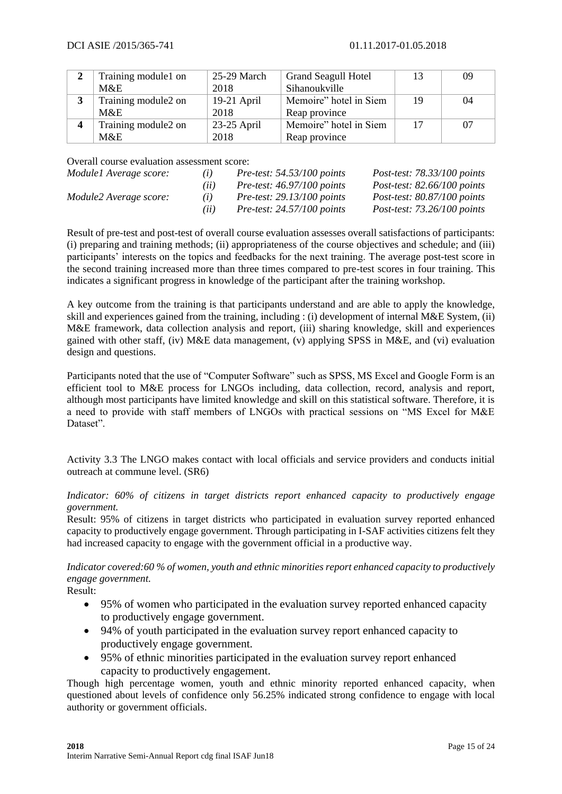|   | Training module1 on | 25-29 March   | <b>Grand Seagull Hotel</b> |    | 09 |
|---|---------------------|---------------|----------------------------|----|----|
|   | $M\&E$              | 2018          | Sihanoukville              |    |    |
| 3 | Training module2 on | $19-21$ April | Memoire" hotel in Siem     |    | 04 |
|   | M&E                 | 2018          | Reap province              |    |    |
|   | Training module2 on | $23-25$ April | Memoire" hotel in Siem     | 17 | 07 |
|   | M&E                 | 2018          | Reap province              |    |    |

Overall course evaluation assessment score:

| Module1 Average score: | (i)  | Pre-test: $54.53/100$ points | Post-test: $78.33/100$ points |
|------------------------|------|------------------------------|-------------------------------|
|                        | (ii) | Pre-test: $46.97/100$ points | Post-test: $82.66/100$ points |
| Module2 Average score: | (i)  | Pre-test: $29.13/100$ points | Post-test: $80.87/100$ points |
|                        | (ii) | Pre-test: $24.57/100$ points | Post-test: $73.26/100$ points |

Result of pre-test and post-test of overall course evaluation assesses overall satisfactions of participants: (i) preparing and training methods; (ii) appropriateness of the course objectives and schedule; and (iii) participants' interests on the topics and feedbacks for the next training. The average post-test score in the second training increased more than three times compared to pre-test scores in four training. This indicates a significant progress in knowledge of the participant after the training workshop.

A key outcome from the training is that participants understand and are able to apply the knowledge, skill and experiences gained from the training, including : (i) development of internal M&E System, (ii) M&E framework, data collection analysis and report, (iii) sharing knowledge, skill and experiences gained with other staff, (iv) M&E data management, (v) applying SPSS in M&E, and (vi) evaluation design and questions.

Participants noted that the use of "Computer Software" such as SPSS, MS Excel and Google Form is an efficient tool to M&E process for LNGOs including, data collection, record, analysis and report, although most participants have limited knowledge and skill on this statistical software. Therefore, it is a need to provide with staff members of LNGOs with practical sessions on "MS Excel for M&E Dataset".

Activity 3.3 The LNGO makes contact with local officials and service providers and conducts initial outreach at commune level. (SR6)

*Indicator: 60% of citizens in target districts report enhanced capacity to productively engage government.* 

Result: 95% of citizens in target districts who participated in evaluation survey reported enhanced capacity to productively engage government. Through participating in I-SAF activities citizens felt they had increased capacity to engage with the government official in a productive way.

*Indicator covered:60 % of women, youth and ethnic minorities report enhanced capacity to productively engage government.*

Result:

- 95% of women who participated in the evaluation survey reported enhanced capacity to productively engage government.
- 94% of youth participated in the evaluation survey report enhanced capacity to productively engage government.
- 95% of ethnic minorities participated in the evaluation survey report enhanced capacity to productively engagement.

Though high percentage women, youth and ethnic minority reported enhanced capacity, when questioned about levels of confidence only 56.25% indicated strong confidence to engage with local authority or government officials.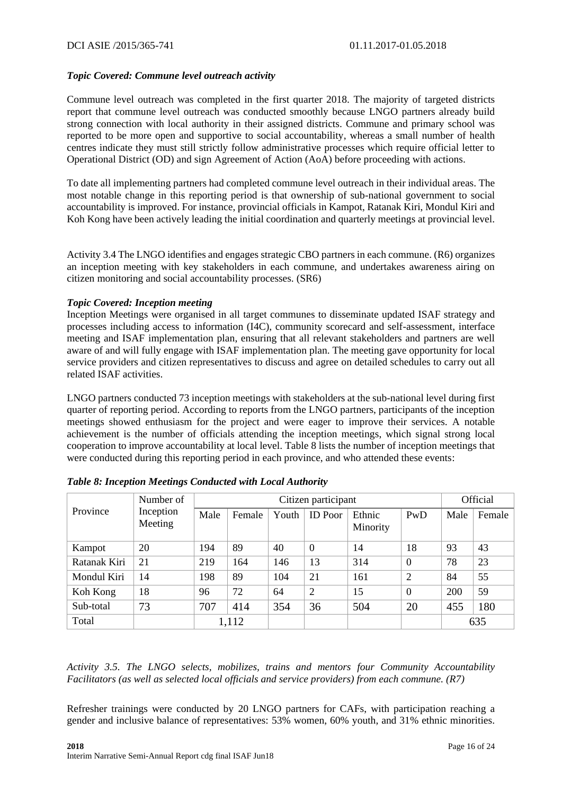## *Topic Covered: Commune level outreach activity*

Commune level outreach was completed in the first quarter 2018. The majority of targeted districts report that commune level outreach was conducted smoothly because LNGO partners already build strong connection with local authority in their assigned districts. Commune and primary school was reported to be more open and supportive to social accountability, whereas a small number of health centres indicate they must still strictly follow administrative processes which require official letter to Operational District (OD) and sign Agreement of Action (AoA) before proceeding with actions.

To date all implementing partners had completed commune level outreach in their individual areas. The most notable change in this reporting period is that ownership of sub-national government to social accountability is improved. For instance, provincial officials in Kampot, Ratanak Kiri, Mondul Kiri and Koh Kong have been actively leading the initial coordination and quarterly meetings at provincial level.

Activity 3.4 The LNGO identifies and engages strategic CBO partners in each commune. (R6) organizes an inception meeting with key stakeholders in each commune, and undertakes awareness airing on citizen monitoring and social accountability processes. (SR6)

## *Topic Covered: Inception meeting*

Inception Meetings were organised in all target communes to disseminate updated ISAF strategy and processes including access to information (I4C), community scorecard and self-assessment, interface meeting and ISAF implementation plan, ensuring that all relevant stakeholders and partners are well aware of and will fully engage with ISAF implementation plan. The meeting gave opportunity for local service providers and citizen representatives to discuss and agree on detailed schedules to carry out all related ISAF activities.

LNGO partners conducted 73 inception meetings with stakeholders at the sub-national level during first quarter of reporting period. According to reports from the LNGO partners, participants of the inception meetings showed enthusiasm for the project and were eager to improve their services. A notable achievement is the number of officials attending the inception meetings, which signal strong local cooperation to improve accountability at local level. Table 8 lists the number of inception meetings that were conducted during this reporting period in each province, and who attended these events:

|              | Number of            |       | Citizen participant |       |                |                    |                |      | Official |  |
|--------------|----------------------|-------|---------------------|-------|----------------|--------------------|----------------|------|----------|--|
| Province     | Inception<br>Meeting | Male  | Female              | Youth | <b>ID</b> Poor | Ethnic<br>Minority | PwD            | Male | Female   |  |
| Kampot       | 20                   | 194   | 89                  | 40    | $\overline{0}$ | 14                 | 18             | 93   | 43       |  |
| Ratanak Kiri | 21                   | 219   | 164                 | 146   | 13             | 314                | $\overline{0}$ | 78   | 23       |  |
| Mondul Kiri  | 14                   | 198   | 89                  | 104   | 21             | 161                | $\overline{2}$ | 84   | 55       |  |
| Koh Kong     | 18                   | 96    | 72                  | 64    | $\overline{2}$ | 15                 | $\overline{0}$ | 200  | 59       |  |
| Sub-total    | 73                   | 707   | 414                 | 354   | 36             | 504                | 20             | 455  | 180      |  |
| Total        |                      | 1,112 |                     |       |                |                    |                |      | 635      |  |

|  |  | Table 8: Inception Meetings Conducted with Local Authority |  |  |
|--|--|------------------------------------------------------------|--|--|
|  |  |                                                            |  |  |

*Activity 3.5. The LNGO selects, mobilizes, trains and mentors four Community Accountability Facilitators (as well as selected local officials and service providers) from each commune. (R7)*

Refresher trainings were conducted by 20 LNGO partners for CAFs, with participation reaching a gender and inclusive balance of representatives: 53% women, 60% youth, and 31% ethnic minorities.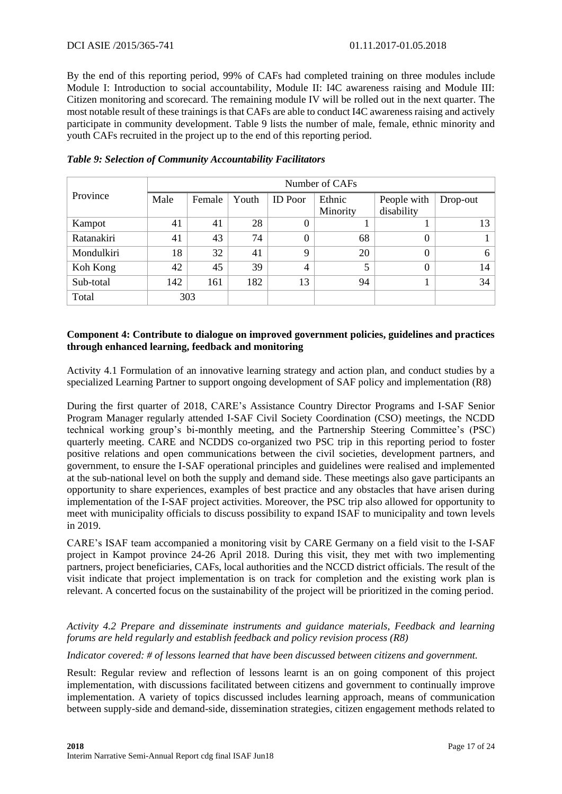By the end of this reporting period, 99% of CAFs had completed training on three modules include Module I: Introduction to social accountability, Module II: I4C awareness raising and Module III: Citizen monitoring and scorecard. The remaining module IV will be rolled out in the next quarter. The most notable result of these trainings is that CAFs are able to conduct I4C awareness raising and actively participate in community development. Table 9 lists the number of male, female, ethnic minority and youth CAFs recruited in the project up to the end of this reporting period.

|            | Number of CAFs |        |       |                |          |             |          |  |  |  |  |  |  |
|------------|----------------|--------|-------|----------------|----------|-------------|----------|--|--|--|--|--|--|
| Province   | Male           | Female | Youth | <b>ID</b> Poor | Ethnic   | People with | Drop-out |  |  |  |  |  |  |
|            |                |        |       |                | Minority | disability  |          |  |  |  |  |  |  |
| Kampot     | 41             | 41     | 28    | $\theta$       |          |             | 13       |  |  |  |  |  |  |
| Ratanakiri | 41             | 43     | 74    | $\theta$       | 68       | $\Omega$    |          |  |  |  |  |  |  |
| Mondulkiri | 18             | 32     | 41    | $\mathbf Q$    | 20       | $\Omega$    | 6        |  |  |  |  |  |  |
| Koh Kong   | 42             | 45     | 39    | $\overline{4}$ | 5        |             | 14       |  |  |  |  |  |  |
| Sub-total  | 142            | 161    | 182   | 13             | 94       |             | 34       |  |  |  |  |  |  |
| Total      |                | 303    |       |                |          |             |          |  |  |  |  |  |  |

## *Table 9: Selection of Community Accountability Facilitators*

## **Component 4: Contribute to dialogue on improved government policies, guidelines and practices through enhanced learning, feedback and monitoring**

Activity 4.1 Formulation of an innovative learning strategy and action plan, and conduct studies by a specialized Learning Partner to support ongoing development of SAF policy and implementation (R8)

During the first quarter of 2018, CARE's Assistance Country Director Programs and I-SAF Senior Program Manager regularly attended I-SAF Civil Society Coordination (CSO) meetings, the NCDD technical working group's bi-monthly meeting, and the Partnership Steering Committee's (PSC) quarterly meeting. CARE and NCDDS co-organized two PSC trip in this reporting period to foster positive relations and open communications between the civil societies, development partners, and government, to ensure the I-SAF operational principles and guidelines were realised and implemented at the sub-national level on both the supply and demand side. These meetings also gave participants an opportunity to share experiences, examples of best practice and any obstacles that have arisen during implementation of the I-SAF project activities. Moreover, the PSC trip also allowed for opportunity to meet with municipality officials to discuss possibility to expand ISAF to municipality and town levels in 2019.

CARE's ISAF team accompanied a monitoring visit by CARE Germany on a field visit to the I-SAF project in Kampot province 24-26 April 2018. During this visit, they met with two implementing partners, project beneficiaries, CAFs, local authorities and the NCCD district officials. The result of the visit indicate that project implementation is on track for completion and the existing work plan is relevant. A concerted focus on the sustainability of the project will be prioritized in the coming period.

## *Activity 4.2 Prepare and disseminate instruments and guidance materials, Feedback and learning forums are held regularly and establish feedback and policy revision process (R8)*

*Indicator covered: # of lessons learned that have been discussed between citizens and government.*

Result: Regular review and reflection of lessons learnt is an on going component of this project implementation, with discussions facilitated between citizens and government to continually improve implementation. A variety of topics discussed includes learning approach, means of communication between supply-side and demand-side, dissemination strategies, citizen engagement methods related to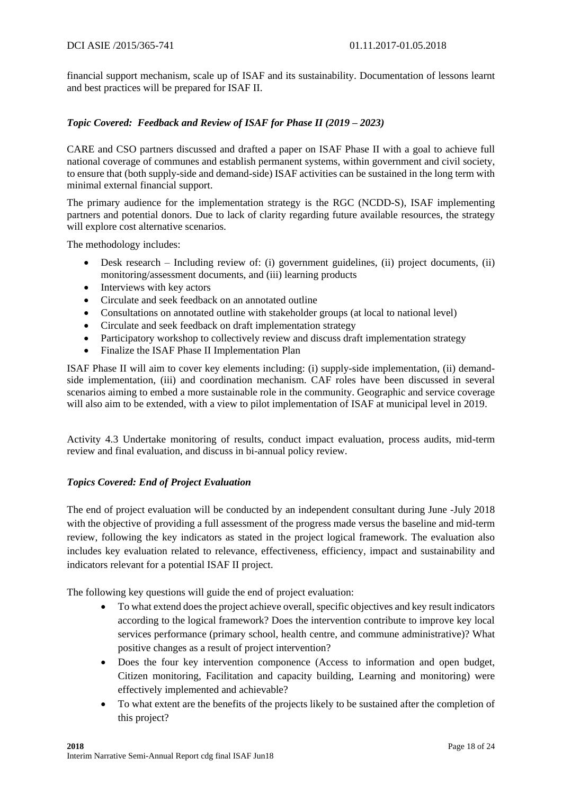financial support mechanism, scale up of ISAF and its sustainability. Documentation of lessons learnt and best practices will be prepared for ISAF II.

## *Topic Covered: Feedback and Review of ISAF for Phase II (2019 – 2023)*

CARE and CSO partners discussed and drafted a paper on ISAF Phase II with a goal to achieve full national coverage of communes and establish permanent systems, within government and civil society, to ensure that (both supply-side and demand-side) ISAF activities can be sustained in the long term with minimal external financial support.

The primary audience for the implementation strategy is the RGC (NCDD-S), ISAF implementing partners and potential donors. Due to lack of clarity regarding future available resources, the strategy will explore cost alternative scenarios.

The methodology includes:

- Desk research Including review of: (i) government guidelines, (ii) project documents, (ii) monitoring/assessment documents, and (iii) learning products
- Interviews with key actors
- Circulate and seek feedback on an annotated outline
- Consultations on annotated outline with stakeholder groups (at local to national level)
- Circulate and seek feedback on draft implementation strategy
- Participatory workshop to collectively review and discuss draft implementation strategy
- Finalize the ISAF Phase II Implementation Plan

ISAF Phase II will aim to cover key elements including: (i) supply-side implementation, (ii) demandside implementation, (iii) and coordination mechanism. CAF roles have been discussed in several scenarios aiming to embed a more sustainable role in the community. Geographic and service coverage will also aim to be extended, with a view to pilot implementation of ISAF at municipal level in 2019.

Activity 4.3 Undertake monitoring of results, conduct impact evaluation, process audits, mid-term review and final evaluation, and discuss in bi-annual policy review.

## *Topics Covered: End of Project Evaluation*

The end of project evaluation will be conducted by an independent consultant during June -July 2018 with the objective of providing a full assessment of the progress made versus the baseline and mid-term review, following the key indicators as stated in the project logical framework. The evaluation also includes key evaluation related to relevance, effectiveness, efficiency, impact and sustainability and indicators relevant for a potential ISAF II project.

The following key questions will guide the end of project evaluation:

- To what extend does the project achieve overall, specific objectives and key result indicators according to the logical framework? Does the intervention contribute to improve key local services performance (primary school, health centre, and commune administrative)? What positive changes as a result of project intervention?
- Does the four key intervention componence (Access to information and open budget, Citizen monitoring, Facilitation and capacity building, Learning and monitoring) were effectively implemented and achievable?
- To what extent are the benefits of the projects likely to be sustained after the completion of this project?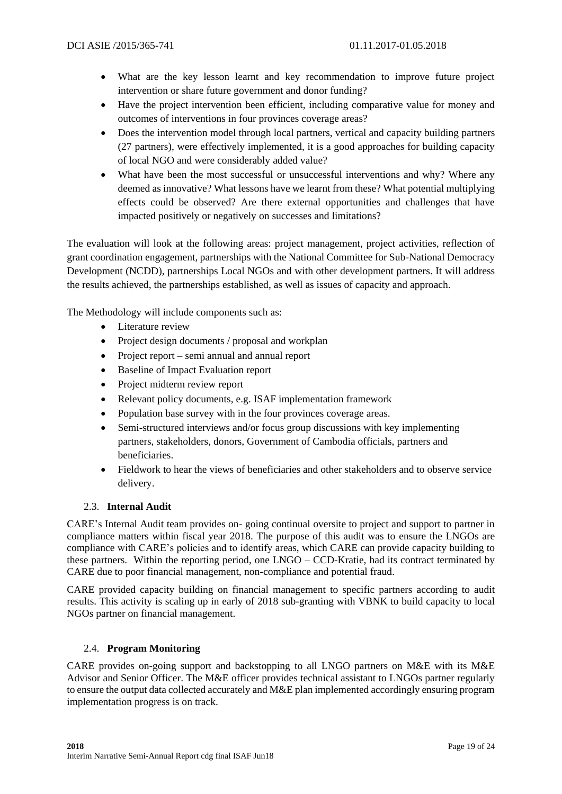- What are the key lesson learnt and key recommendation to improve future project intervention or share future government and donor funding?
- Have the project intervention been efficient, including comparative value for money and outcomes of interventions in four provinces coverage areas?
- Does the intervention model through local partners, vertical and capacity building partners (27 partners), were effectively implemented, it is a good approaches for building capacity of local NGO and were considerably added value?
- What have been the most successful or unsuccessful interventions and why? Where any deemed as innovative? What lessons have we learnt from these? What potential multiplying effects could be observed? Are there external opportunities and challenges that have impacted positively or negatively on successes and limitations?

The evaluation will look at the following areas: project management, project activities, reflection of grant coordination engagement, partnerships with the National Committee for Sub-National Democracy Development (NCDD), partnerships Local NGOs and with other development partners. It will address the results achieved, the partnerships established, as well as issues of capacity and approach.

The Methodology will include components such as:

- Literature review
- Project design documents / proposal and workplan
- Project report semi annual and annual report
- Baseline of Impact Evaluation report
- Project midterm review report
- Relevant policy documents, e.g. ISAF implementation framework
- Population base survey with in the four provinces coverage areas.
- Semi-structured interviews and/or focus group discussions with key implementing partners, stakeholders, donors, Government of Cambodia officials, partners and beneficiaries.
- Fieldwork to hear the views of beneficiaries and other stakeholders and to observe service delivery.

## 2.3. **Internal Audit**

CARE's Internal Audit team provides on- going continual oversite to project and support to partner in compliance matters within fiscal year 2018. The purpose of this audit was to ensure the LNGOs are compliance with CARE's policies and to identify areas, which CARE can provide capacity building to these partners. Within the reporting period, one LNGO – CCD-Kratie, had its contract terminated by CARE due to poor financial management, non-compliance and potential fraud.

CARE provided capacity building on financial management to specific partners according to audit results. This activity is scaling up in early of 2018 sub-granting with VBNK to build capacity to local NGOs partner on financial management.

## 2.4. **Program Monitoring**

CARE provides on-going support and backstopping to all LNGO partners on M&E with its M&E Advisor and Senior Officer. The M&E officer provides technical assistant to LNGOs partner regularly to ensure the output data collected accurately and M&E plan implemented accordingly ensuring program implementation progress is on track.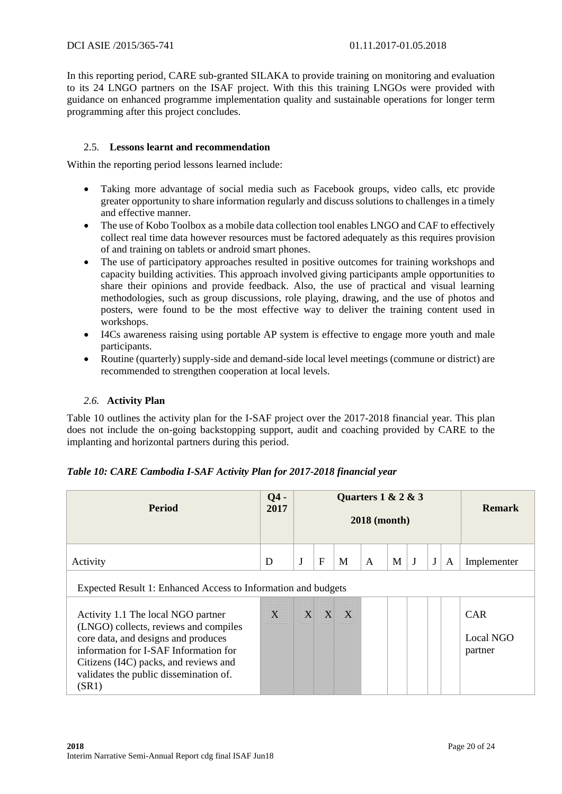In this reporting period, CARE sub-granted SILAKA to provide training on monitoring and evaluation to its 24 LNGO partners on the ISAF project. With this this training LNGOs were provided with guidance on enhanced programme implementation quality and sustainable operations for longer term programming after this project concludes.

## 2.5. **Lessons learnt and recommendation**

Within the reporting period lessons learned include:

- Taking more advantage of social media such as Facebook groups, video calls, etc provide greater opportunity to share information regularly and discuss solutions to challenges in a timely and effective manner.
- The use of Kobo Toolbox as a mobile data collection tool enables LNGO and CAF to effectively collect real time data however resources must be factored adequately as this requires provision of and training on tablets or android smart phones.
- The use of participatory approaches resulted in positive outcomes for training workshops and capacity building activities. This approach involved giving participants ample opportunities to share their opinions and provide feedback. Also, the use of practical and visual learning methodologies, such as group discussions, role playing, drawing, and the use of photos and posters, were found to be the most effective way to deliver the training content used in workshops.
- I4Cs awareness raising using portable AP system is effective to engage more youth and male participants.
- Routine (quarterly) supply-side and demand-side local level meetings (commune or district) are recommended to strengthen cooperation at local levels.

## *2.6.* **Activity Plan**

Table 10 outlines the activity plan for the I-SAF project over the 2017-2018 financial year. This plan does not include the on-going backstopping support, audit and coaching provided by CARE to the implanting and horizontal partners during this period.

| <b>Period</b>                                                                                                                                                                                                                                           | $Q4 -$<br>2017 | Quarters $1 & 2 & 3$<br><b>2018</b> (month) |          |          |              |   |   |         |   | <b>Remark</b>                             |
|---------------------------------------------------------------------------------------------------------------------------------------------------------------------------------------------------------------------------------------------------------|----------------|---------------------------------------------|----------|----------|--------------|---|---|---------|---|-------------------------------------------|
| Activity                                                                                                                                                                                                                                                | D              | $\mathbf J$                                 | F        | M        | $\mathbf{A}$ | M | J | $\bf J$ | A | Implementer                               |
| Expected Result 1: Enhanced Access to Information and budgets                                                                                                                                                                                           |                |                                             |          |          |              |   |   |         |   |                                           |
| Activity 1.1 The local NGO partner<br>(LNGO) collects, reviews and compiles<br>core data, and designs and produces<br>information for I-SAF Information for<br>Citizens (I4C) packs, and reviews and<br>validates the public dissemination of.<br>(SR1) | $\bf{X}$       | $\bf{X}$                                    | $\bf{X}$ | $\bf{X}$ |              |   |   |         |   | <b>CAR</b><br><b>Local NGO</b><br>partner |

## *Table 10: CARE Cambodia I-SAF Activity Plan for 2017-2018 financial year*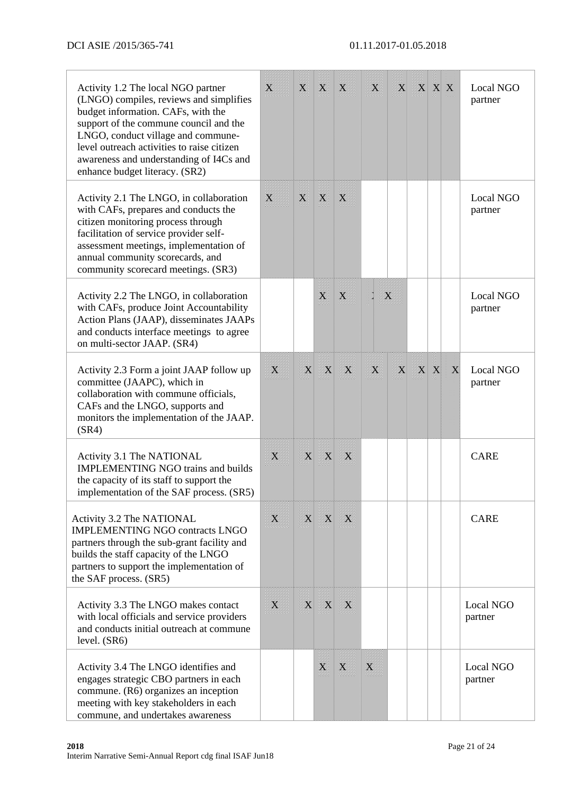| Activity 1.2 The local NGO partner<br>(LNGO) compiles, reviews and simplifies<br>budget information. CAFs, with the<br>support of the commune council and the<br>LNGO, conduct village and commune-<br>level outreach activities to raise citizen<br>awareness and understanding of I4Cs and<br>enhance budget literacy. (SR2) | $\bf{X}$    | $\mathbf X$ | $\mathbf X$ | X           | X           | X                       |              | <b>X X X</b> |             | Local NGO<br>partner |
|--------------------------------------------------------------------------------------------------------------------------------------------------------------------------------------------------------------------------------------------------------------------------------------------------------------------------------|-------------|-------------|-------------|-------------|-------------|-------------------------|--------------|--------------|-------------|----------------------|
| Activity 2.1 The LNGO, in collaboration<br>with CAFs, prepares and conducts the<br>citizen monitoring process through<br>facilitation of service provider self-<br>assessment meetings, implementation of<br>annual community scorecards, and<br>community scorecard meetings. (SR3)                                           | X           | $\bf{X}$    | $\mathbf X$ | X           |             |                         |              |              |             | Local NGO<br>partner |
| Activity 2.2 The LNGO, in collaboration<br>with CAFs, produce Joint Accountability<br>Action Plans (JAAP), disseminates JAAPs<br>and conducts interface meetings to agree<br>on multi-sector JAAP. (SR4)                                                                                                                       |             |             | X           | X           |             | $\bf{X}$                |              |              |             | Local NGO<br>partner |
| Activity 2.3 Form a joint JAAP follow up<br>committee (JAAPC), which in<br>collaboration with commune officials,<br>CAFs and the LNGO, supports and<br>monitors the implementation of the JAAP.<br>(SR4)                                                                                                                       | X           | $\mathbf X$ | X           | X           | X           | $\overline{\mathbf{X}}$ | $\mathbf{X}$ | $\mathbf{X}$ | $\mathbf X$ | Local NGO<br>partner |
| Activity 3.1 The NATIONAL<br><b>IMPLEMENTING NGO trains and builds</b><br>the capacity of its staff to support the<br>implementation of the SAF process. (SR5)                                                                                                                                                                 | $\mathbf X$ | $\mathbf X$ | X           | X           |             |                         |              |              |             | <b>CARE</b>          |
| Activity 3.2 The NATIONAL<br><b>IMPLEMENTING NGO contracts LNGO</b><br>partners through the sub-grant facility and<br>builds the staff capacity of the LNGO<br>partners to support the implementation of<br>the SAF process. (SR5)                                                                                             | $\mathbf X$ | $\mathbf X$ | X           | $\bf{X}$    |             |                         |              |              |             | <b>CARE</b>          |
| Activity 3.3 The LNGO makes contact<br>with local officials and service providers<br>and conducts initial outreach at commune<br>level. (SR6)                                                                                                                                                                                  | $\mathbf X$ | $\mathbf X$ | X           | $\bf{X}$    |             |                         |              |              |             | Local NGO<br>partner |
| Activity 3.4 The LNGO identifies and<br>engages strategic CBO partners in each<br>commune. (R6) organizes an inception<br>meeting with key stakeholders in each<br>commune, and undertakes awareness                                                                                                                           |             |             | X           | $\mathbf X$ | $\mathbf X$ |                         |              |              |             | Local NGO<br>partner |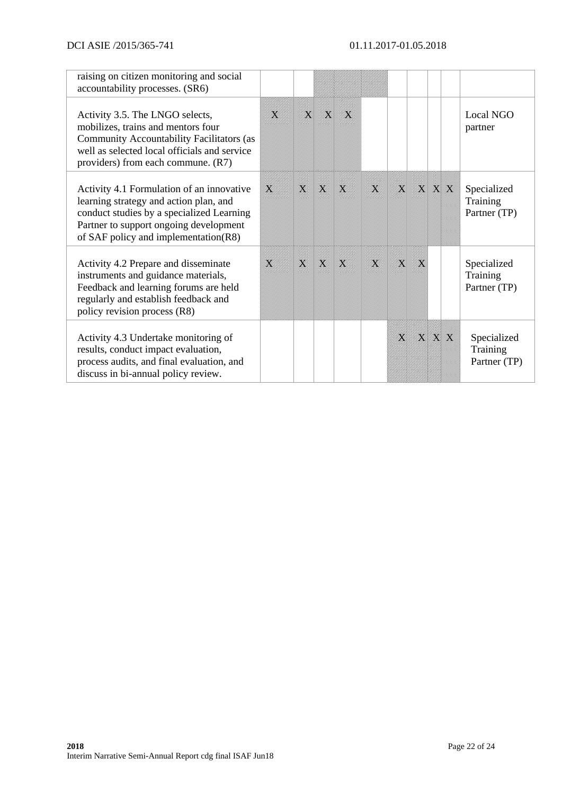| raising on citizen monitoring and social<br>accountability processes. (SR6)                                                                                                                                        |          |              |             |          |          |              |          |              |                                         |
|--------------------------------------------------------------------------------------------------------------------------------------------------------------------------------------------------------------------|----------|--------------|-------------|----------|----------|--------------|----------|--------------|-----------------------------------------|
| Activity 3.5. The LNGO selects,<br>mobilizes, trains and mentors four<br>Community Accountability Facilitators (as<br>well as selected local officials and service<br>providers) from each commune. (R7)           | $\bf{X}$ | $\mathbf{X}$ | $\mathbf X$ | $\bf{X}$ |          |              |          |              | <b>Local NGO</b><br>partner             |
| Activity 4.1 Formulation of an innovative<br>learning strategy and action plan, and<br>conduct studies by a specialized Learning<br>Partner to support ongoing development<br>of SAF policy and implementation(R8) | X        | $\bf{X}$     | $\bf{X}$    | $\bf{X}$ | X        | $\mathbf{X}$ |          | <b>X X X</b> | Specialized<br>Training<br>Partner (TP) |
| Activity 4.2 Prepare and disseminate<br>instruments and guidance materials,<br>Feedback and learning forums are held<br>regularly and establish feedback and<br>policy revision process (R8)                       | $\bf{X}$ | $\mathbf{X}$ | $\bf{X}$    | $\bf{X}$ | $\bf{X}$ | $\bf{X}$     | $\bf{X}$ |              | Specialized<br>Training<br>Partner (TP) |
| Activity 4.3 Undertake monitoring of<br>results, conduct impact evaluation,<br>process audits, and final evaluation, and<br>discuss in bi-annual policy review.                                                    |          |              |             |          |          | $\bf{X}$     |          | <b>X X X</b> | Specialized<br>Training<br>Partner (TP) |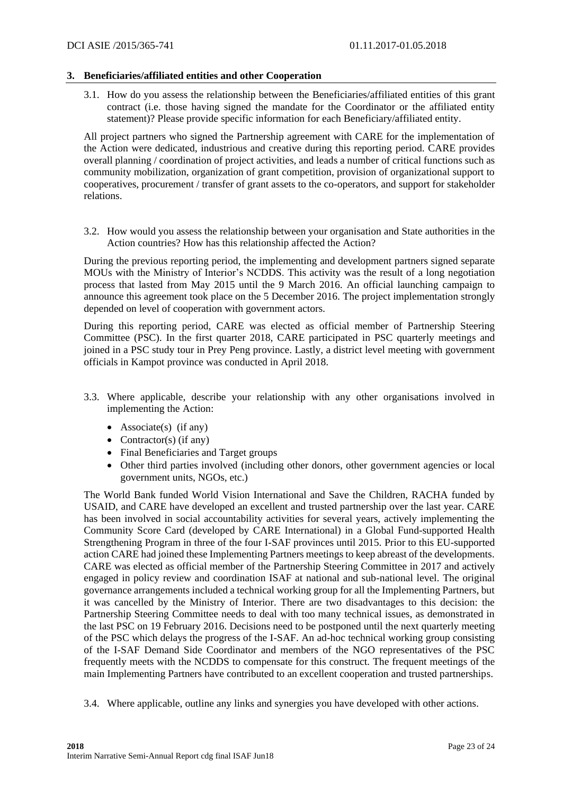## **3. Beneficiaries/affiliated entities and other Cooperation**

3.1. How do you assess the relationship between the Beneficiaries/affiliated entities of this grant contract (i.e. those having signed the mandate for the Coordinator or the affiliated entity statement)? Please provide specific information for each Beneficiary/affiliated entity.

All project partners who signed the Partnership agreement with CARE for the implementation of the Action were dedicated, industrious and creative during this reporting period. CARE provides overall planning / coordination of project activities, and leads a number of critical functions such as community mobilization, organization of grant competition, provision of organizational support to cooperatives, procurement / transfer of grant assets to the co-operators, and support for stakeholder relations.

3.2. How would you assess the relationship between your organisation and State authorities in the Action countries? How has this relationship affected the Action?

During the previous reporting period, the implementing and development partners signed separate MOUs with the Ministry of Interior's NCDDS. This activity was the result of a long negotiation process that lasted from May 2015 until the 9 March 2016. An official launching campaign to announce this agreement took place on the 5 December 2016. The project implementation strongly depended on level of cooperation with government actors.

During this reporting period, CARE was elected as official member of Partnership Steering Committee (PSC). In the first quarter 2018, CARE participated in PSC quarterly meetings and joined in a PSC study tour in Prey Peng province. Lastly, a district level meeting with government officials in Kampot province was conducted in April 2018.

- 3.3. Where applicable, describe your relationship with any other organisations involved in implementing the Action:
	- Associate(s) (if any)
	- Contractor(s) (if any)
	- Final Beneficiaries and Target groups
	- Other third parties involved (including other donors, other government agencies or local government units, NGOs, etc.)

The World Bank funded World Vision International and Save the Children, RACHA funded by USAID, and CARE have developed an excellent and trusted partnership over the last year. CARE has been involved in social accountability activities for several years, actively implementing the Community Score Card (developed by CARE International) in a Global Fund-supported Health Strengthening Program in three of the four I-SAF provinces until 2015. Prior to this EU-supported action CARE had joined these Implementing Partners meetings to keep abreast of the developments. CARE was elected as official member of the Partnership Steering Committee in 2017 and actively engaged in policy review and coordination ISAF at national and sub-national level. The original governance arrangements included a technical working group for all the Implementing Partners, but it was cancelled by the Ministry of Interior. There are two disadvantages to this decision: the Partnership Steering Committee needs to deal with too many technical issues, as demonstrated in the last PSC on 19 February 2016. Decisions need to be postponed until the next quarterly meeting of the PSC which delays the progress of the I-SAF. An ad-hoc technical working group consisting of the I-SAF Demand Side Coordinator and members of the NGO representatives of the PSC frequently meets with the NCDDS to compensate for this construct. The frequent meetings of the main Implementing Partners have contributed to an excellent cooperation and trusted partnerships.

3.4. Where applicable, outline any links and synergies you have developed with other actions.